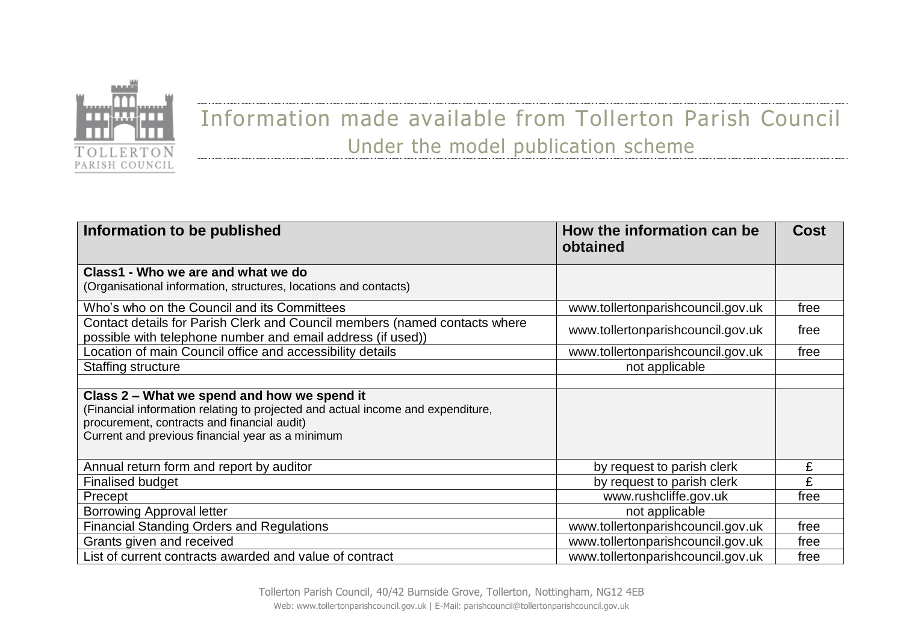

## Information made available from Tollerton Parish Council Under the model publication scheme

| Information to be published                                                                                                                                                                                                       | How the information can be<br>obtained | <b>Cost</b> |
|-----------------------------------------------------------------------------------------------------------------------------------------------------------------------------------------------------------------------------------|----------------------------------------|-------------|
| Class1 - Who we are and what we do                                                                                                                                                                                                |                                        |             |
| (Organisational information, structures, locations and contacts)                                                                                                                                                                  |                                        |             |
| Who's who on the Council and its Committees                                                                                                                                                                                       | www.tollertonparishcouncil.gov.uk      | free        |
| Contact details for Parish Clerk and Council members (named contacts where<br>possible with telephone number and email address (if used))                                                                                         | www.tollertonparishcouncil.gov.uk      | free        |
| Location of main Council office and accessibility details                                                                                                                                                                         | www.tollertonparishcouncil.gov.uk      | free        |
| <b>Staffing structure</b>                                                                                                                                                                                                         | not applicable                         |             |
|                                                                                                                                                                                                                                   |                                        |             |
| Class 2 – What we spend and how we spend it<br>(Financial information relating to projected and actual income and expenditure,<br>procurement, contracts and financial audit)<br>Current and previous financial year as a minimum |                                        |             |
| Annual return form and report by auditor                                                                                                                                                                                          | by request to parish clerk             |             |
| <b>Finalised budget</b>                                                                                                                                                                                                           | by request to parish clerk             | £           |
| Precept                                                                                                                                                                                                                           | www.rushcliffe.gov.uk                  | free        |
| <b>Borrowing Approval letter</b>                                                                                                                                                                                                  | not applicable                         |             |
| <b>Financial Standing Orders and Regulations</b>                                                                                                                                                                                  | www.tollertonparishcouncil.gov.uk      | free        |
| Grants given and received                                                                                                                                                                                                         | www.tollertonparishcouncil.gov.uk      | free        |
| List of current contracts awarded and value of contract                                                                                                                                                                           | www.tollertonparishcouncil.gov.uk      | free        |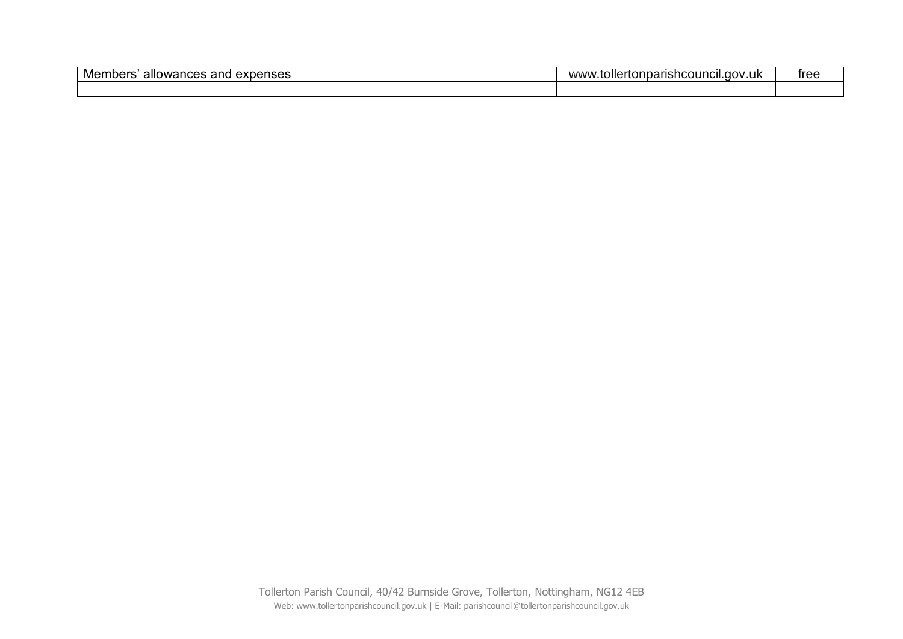| Members<br>. Gxpenses<br>∍and<br>allowances | <br>.toller<br>.ertonparishcouncil.gov<br>∕.uk<br>ww۱ | tree |
|---------------------------------------------|-------------------------------------------------------|------|
|                                             |                                                       |      |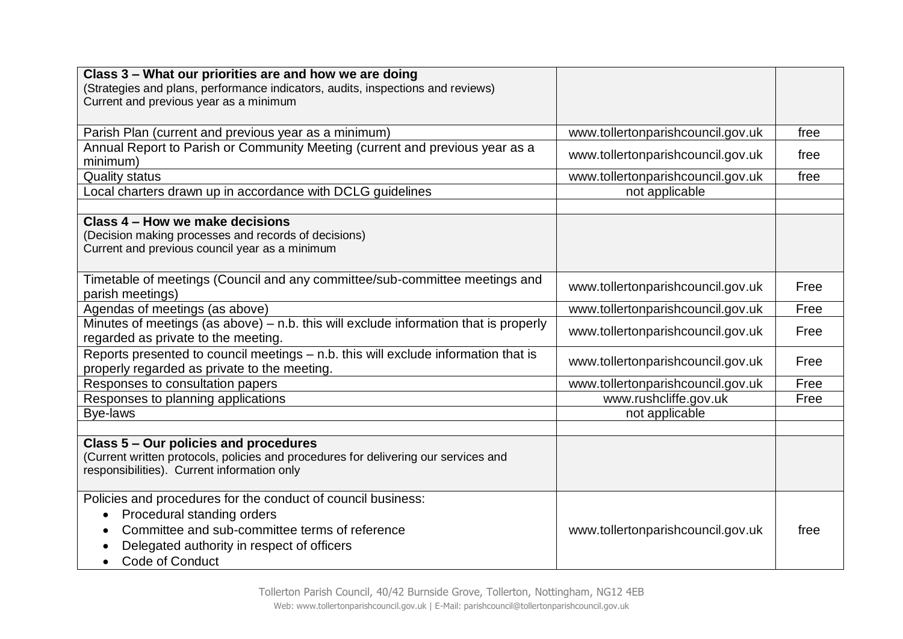| Class 3 – What our priorities are and how we are doing<br>(Strategies and plans, performance indicators, audits, inspections and reviews)                                   |                                   |      |
|-----------------------------------------------------------------------------------------------------------------------------------------------------------------------------|-----------------------------------|------|
| Current and previous year as a minimum                                                                                                                                      |                                   |      |
|                                                                                                                                                                             |                                   |      |
| Parish Plan (current and previous year as a minimum)                                                                                                                        | www.tollertonparishcouncil.gov.uk | free |
| Annual Report to Parish or Community Meeting (current and previous year as a<br>minimum)                                                                                    | www.tollertonparishcouncil.gov.uk | free |
| <b>Quality status</b>                                                                                                                                                       | www.tollertonparishcouncil.gov.uk | free |
| Local charters drawn up in accordance with DCLG guidelines                                                                                                                  | not applicable                    |      |
|                                                                                                                                                                             |                                   |      |
| Class 4 - How we make decisions                                                                                                                                             |                                   |      |
| (Decision making processes and records of decisions)                                                                                                                        |                                   |      |
| Current and previous council year as a minimum                                                                                                                              |                                   |      |
|                                                                                                                                                                             |                                   |      |
| Timetable of meetings (Council and any committee/sub-committee meetings and<br>parish meetings)                                                                             | www.tollertonparishcouncil.gov.uk | Free |
| Agendas of meetings (as above)                                                                                                                                              | www.tollertonparishcouncil.gov.uk | Free |
| Minutes of meetings (as above) $-$ n.b. this will exclude information that is properly<br>www.tollertonparishcouncil.gov.uk<br>regarded as private to the meeting.          |                                   | Free |
| Reports presented to council meetings - n.b. this will exclude information that is<br>properly regarded as private to the meeting.                                          | www.tollertonparishcouncil.gov.uk | Free |
| Responses to consultation papers<br>www.tollertonparishcouncil.gov.uk                                                                                                       |                                   | Free |
| www.rushcliffe.gov.uk<br>Responses to planning applications                                                                                                                 |                                   | Free |
| Bye-laws<br>not applicable                                                                                                                                                  |                                   |      |
|                                                                                                                                                                             |                                   |      |
| Class 5 – Our policies and procedures<br>(Current written protocols, policies and procedures for delivering our services and<br>responsibilities). Current information only |                                   |      |
| Policies and procedures for the conduct of council business:                                                                                                                |                                   |      |
| Procedural standing orders<br>$\bullet$                                                                                                                                     |                                   |      |
| Committee and sub-committee terms of reference<br>www.tollertonparishcouncil.gov.uk                                                                                         |                                   | free |
| Delegated authority in respect of officers                                                                                                                                  |                                   |      |
| <b>Code of Conduct</b>                                                                                                                                                      |                                   |      |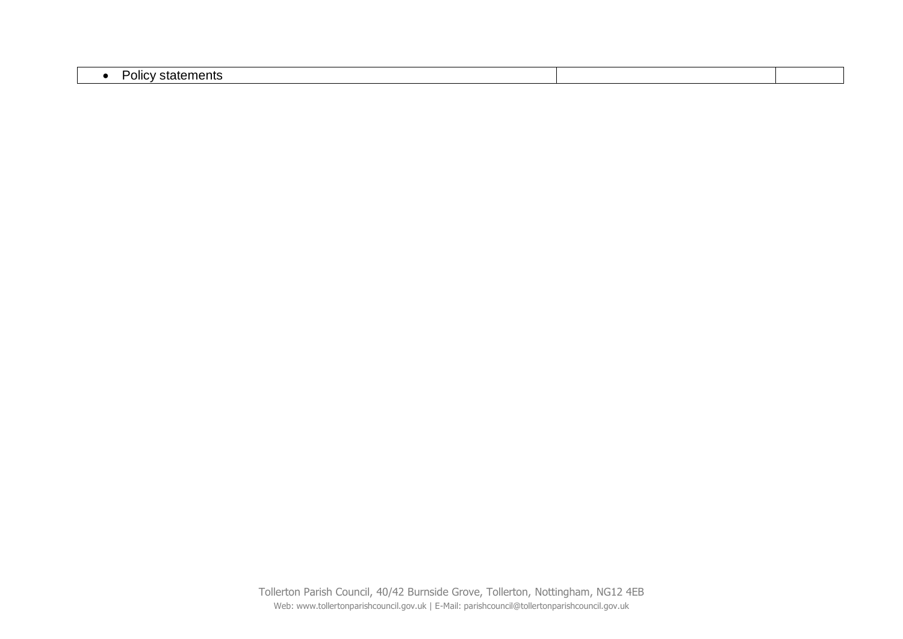| . .<br>$+$<br>OIIC<br><b>alal</b> tilltilla |  |
|---------------------------------------------|--|

Tollerton Parish Council, 40/42 Burnside Grove, Tollerton, Nottingham, NG12 4EB Web: www.tollertonparishcouncil.gov.uk | E-Mail: parishcouncil@tollertonparishcouncil.gov.uk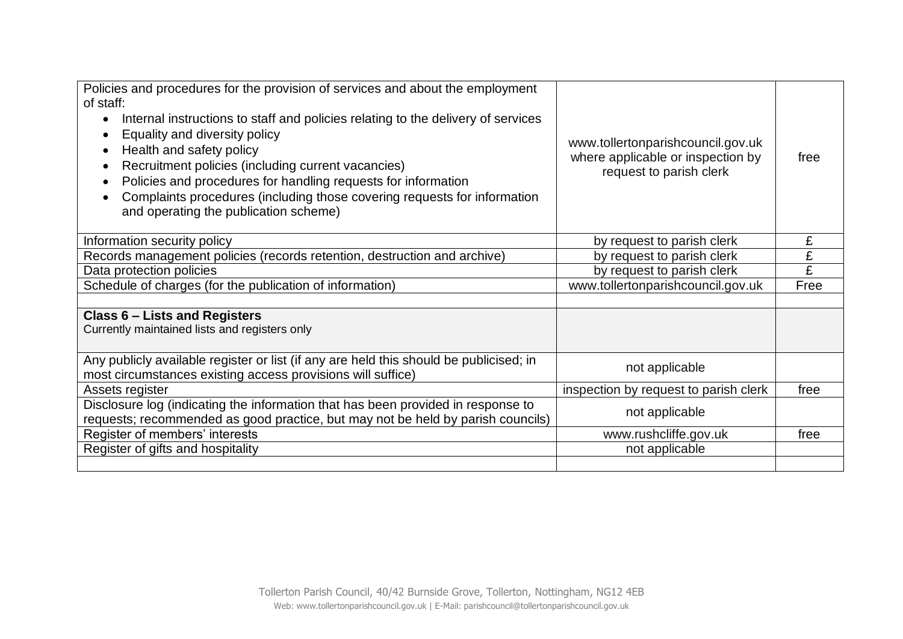| Policies and procedures for the provision of services and about the employment<br>of staff:<br>Internal instructions to staff and policies relating to the delivery of services<br>$\bullet$<br>Equality and diversity policy<br>Health and safety policy<br>Recruitment policies (including current vacancies)<br>Policies and procedures for handling requests for information<br>Complaints procedures (including those covering requests for information<br>and operating the publication scheme) | www.tollertonparishcouncil.gov.uk<br>where applicable or inspection by<br>request to parish clerk | free |
|-------------------------------------------------------------------------------------------------------------------------------------------------------------------------------------------------------------------------------------------------------------------------------------------------------------------------------------------------------------------------------------------------------------------------------------------------------------------------------------------------------|---------------------------------------------------------------------------------------------------|------|
| Information security policy                                                                                                                                                                                                                                                                                                                                                                                                                                                                           | by request to parish clerk                                                                        | £    |
| Records management policies (records retention, destruction and archive)                                                                                                                                                                                                                                                                                                                                                                                                                              | by request to parish clerk                                                                        | £    |
| Data protection policies                                                                                                                                                                                                                                                                                                                                                                                                                                                                              | by request to parish clerk                                                                        | £    |
| Schedule of charges (for the publication of information)                                                                                                                                                                                                                                                                                                                                                                                                                                              | www.tollertonparishcouncil.gov.uk                                                                 | Free |
|                                                                                                                                                                                                                                                                                                                                                                                                                                                                                                       |                                                                                                   |      |
| <b>Class 6 - Lists and Registers</b><br>Currently maintained lists and registers only                                                                                                                                                                                                                                                                                                                                                                                                                 |                                                                                                   |      |
| Any publicly available register or list (if any are held this should be publicised; in<br>not applicable<br>most circumstances existing access provisions will suffice)                                                                                                                                                                                                                                                                                                                               |                                                                                                   |      |
| Assets register                                                                                                                                                                                                                                                                                                                                                                                                                                                                                       | inspection by request to parish clerk                                                             | free |
| Disclosure log (indicating the information that has been provided in response to<br>not applicable<br>requests; recommended as good practice, but may not be held by parish councils)                                                                                                                                                                                                                                                                                                                 |                                                                                                   |      |
| Register of members' interests                                                                                                                                                                                                                                                                                                                                                                                                                                                                        | www.rushcliffe.gov.uk                                                                             | free |
| Register of gifts and hospitality<br>not applicable                                                                                                                                                                                                                                                                                                                                                                                                                                                   |                                                                                                   |      |
|                                                                                                                                                                                                                                                                                                                                                                                                                                                                                                       |                                                                                                   |      |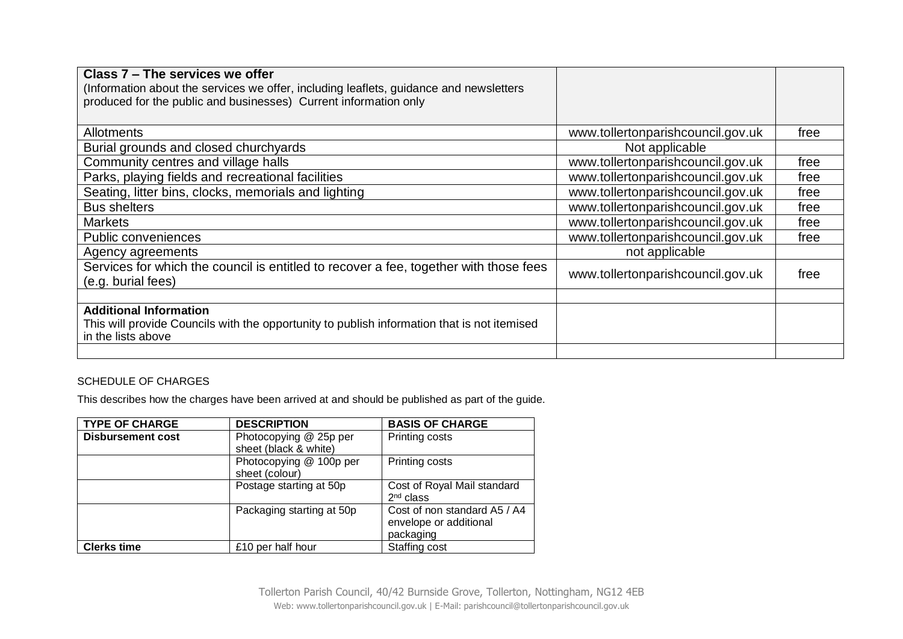| Class 7 – The services we offer<br>(Information about the services we offer, including leaflets, guidance and newsletters<br>produced for the public and businesses) Current information only |                                   |      |
|-----------------------------------------------------------------------------------------------------------------------------------------------------------------------------------------------|-----------------------------------|------|
| Allotments                                                                                                                                                                                    | www.tollertonparishcouncil.gov.uk | free |
| Burial grounds and closed churchyards                                                                                                                                                         | Not applicable                    |      |
| Community centres and village halls                                                                                                                                                           | www.tollertonparishcouncil.gov.uk | free |
| Parks, playing fields and recreational facilities                                                                                                                                             | www.tollertonparishcouncil.gov.uk | free |
| Seating, litter bins, clocks, memorials and lighting                                                                                                                                          | www.tollertonparishcouncil.gov.uk | free |
| <b>Bus shelters</b>                                                                                                                                                                           | www.tollertonparishcouncil.gov.uk | free |
| <b>Markets</b>                                                                                                                                                                                | www.tollertonparishcouncil.gov.uk | free |
| <b>Public conveniences</b>                                                                                                                                                                    | www.tollertonparishcouncil.gov.uk | free |
| Agency agreements                                                                                                                                                                             | not applicable                    |      |
| Services for which the council is entitled to recover a fee, together with those fees<br>(e.g. burial fees)                                                                                   | www.tollertonparishcouncil.gov.uk | free |
|                                                                                                                                                                                               |                                   |      |
| <b>Additional Information</b><br>This will provide Councils with the opportunity to publish information that is not itemised<br>in the lists above                                            |                                   |      |
|                                                                                                                                                                                               |                                   |      |

## SCHEDULE OF CHARGES

This describes how the charges have been arrived at and should be published as part of the guide.

| <b>TYPE OF CHARGE</b>    | <b>DESCRIPTION</b>                              | <b>BASIS OF CHARGE</b>                                              |
|--------------------------|-------------------------------------------------|---------------------------------------------------------------------|
| <b>Disbursement cost</b> | Photocopying @ 25p per<br>sheet (black & white) | Printing costs                                                      |
|                          | Photocopying @ 100p per<br>sheet (colour)       | Printing costs                                                      |
|                          | Postage starting at 50p                         | Cost of Royal Mail standard<br>$2nd$ class                          |
|                          | Packaging starting at 50p                       | Cost of non standard A5 / A4<br>envelope or additional<br>packaging |
| <b>Clerks time</b>       | £10 per half hour                               | Staffing cost                                                       |